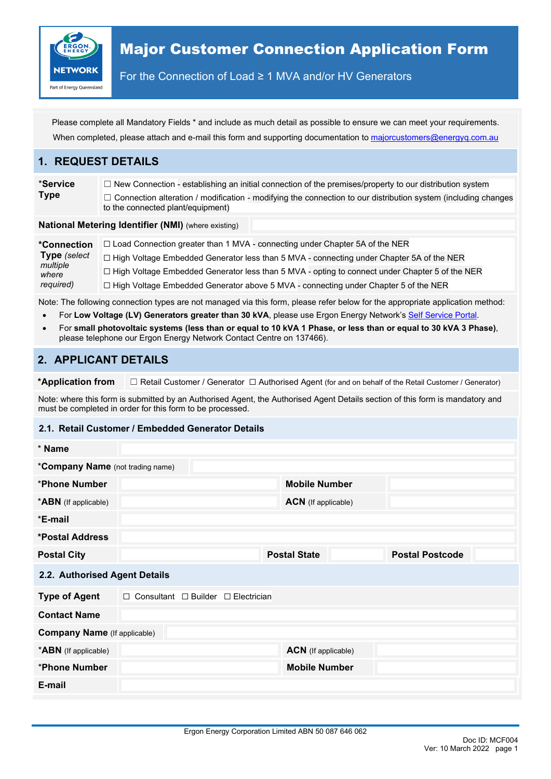

For the Connection of Load ≥ 1 MVA and/or HV Generators

Please complete all Mandatory Fields \* and include as much detail as possible to ensure we can meet your requirements. When completed, please attach and e-mail this form and supporting documentation to [majorcustomers@energyq.com.au](mailto:majorcustomers@energyq.com.au)

### **1. REQUEST DETAILS**

\***Service Type** ☐ New Connection - establishing an initial connection of the premises/property to our distribution system □ Connection alteration / modification - modifying the connection to our distribution system (including changes to the connected plant/equipment)

#### **National Metering Identifier (NMI)** (where existing)

**\*Connection Type** *(select multiple where required)*  $\Box$  Load Connection greater than 1 MVA - connecting under Chapter 5A of the NER ☐ High Voltage Embedded Generator less than 5 MVA - connecting under Chapter 5A of the NER ☐ High Voltage Embedded Generator less than 5 MVA - opting to connect under Chapter 5 of the NER ☐ High Voltage Embedded Generator above 5 MVA - connecting under Chapter 5 of the NER

Note: The following connection types are not managed via this form, please refer below for the appropriate application method:

- For Low Voltage (LV) Generators greater than 30 kVA, please use Ergon Energy Network's [Self Service Portal.](https://epp.ergon.com.au/epp/public/selfservice)
- For **small photovoltaic systems (less than or equal to 10 kVA 1 Phase, or less than or equal to 30 kVA 3 Phase)**, please telephone our Ergon Energy Network Contact Centre on 137466).

## **2. APPLICANT DETAILS**

**\*Application from** ☐ Retail Customer / Generator ☐ Authorised Agent (for and on behalf of the Retail Customer / Generator)

Note: where this form is submitted by an Authorised Agent, the Authorised Agent Details section of this form is mandatory and must be completed in order for this form to be processed.

#### **2.1. Retail Customer / Embedded Generator Details**

| * Name                                  |                                                     |                            |                        |  |
|-----------------------------------------|-----------------------------------------------------|----------------------------|------------------------|--|
| <i>*Company Name (not trading name)</i> |                                                     |                            |                        |  |
| *Phone Number                           |                                                     | <b>Mobile Number</b>       |                        |  |
| <b>*ABN</b> (If applicable)             |                                                     | <b>ACN</b> (If applicable) |                        |  |
| *E-mail                                 |                                                     |                            |                        |  |
| *Postal Address                         |                                                     |                            |                        |  |
| <b>Postal City</b>                      |                                                     | <b>Postal State</b>        | <b>Postal Postcode</b> |  |
| 2.2. Authorised Agent Details           |                                                     |                            |                        |  |
| <b>Type of Agent</b>                    | $\Box$ Consultant $\Box$ Builder $\Box$ Electrician |                            |                        |  |
| <b>Contact Name</b>                     |                                                     |                            |                        |  |
| <b>Company Name</b> (If applicable)     |                                                     |                            |                        |  |
| <b>*ABN</b> (If applicable)             |                                                     | <b>ACN</b> (If applicable) |                        |  |
| *Phone Number                           |                                                     | <b>Mobile Number</b>       |                        |  |
| E-mail                                  |                                                     |                            |                        |  |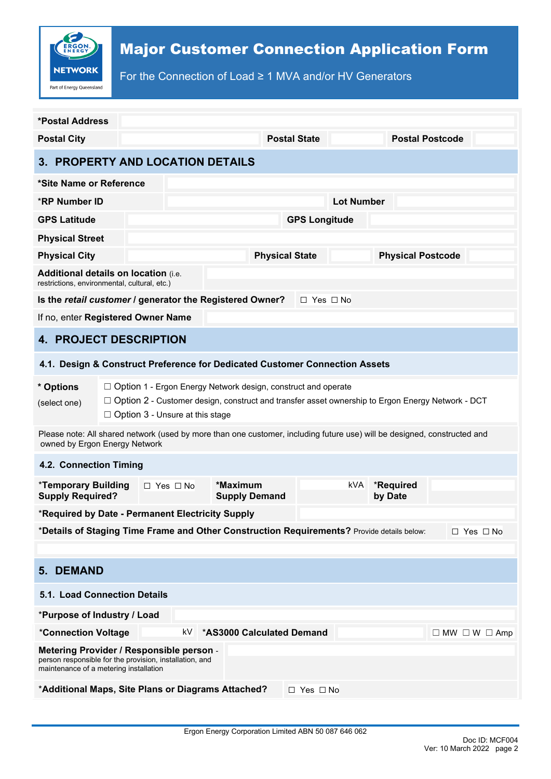

For the Connection of Load ≥ 1 MVA and/or HV Generators

| *Postal Address                                                                                                                                                                                                                                        |                                                                                         |  |                                  |                       |                      |                          |           |                        |  |  |
|--------------------------------------------------------------------------------------------------------------------------------------------------------------------------------------------------------------------------------------------------------|-----------------------------------------------------------------------------------------|--|----------------------------------|-----------------------|----------------------|--------------------------|-----------|------------------------|--|--|
| <b>Postal City</b>                                                                                                                                                                                                                                     |                                                                                         |  |                                  |                       | <b>Postal State</b>  |                          |           | <b>Postal Postcode</b> |  |  |
| 3. PROPERTY AND LOCATION DETAILS                                                                                                                                                                                                                       |                                                                                         |  |                                  |                       |                      |                          |           |                        |  |  |
| *Site Name or Reference                                                                                                                                                                                                                                |                                                                                         |  |                                  |                       |                      |                          |           |                        |  |  |
| <b>*RP Number ID</b>                                                                                                                                                                                                                                   |                                                                                         |  |                                  |                       | <b>Lot Number</b>    |                          |           |                        |  |  |
| <b>GPS Latitude</b>                                                                                                                                                                                                                                    |                                                                                         |  |                                  | <b>GPS Longitude</b>  |                      |                          |           |                        |  |  |
| <b>Physical Street</b>                                                                                                                                                                                                                                 |                                                                                         |  |                                  |                       |                      |                          |           |                        |  |  |
| <b>Physical City</b>                                                                                                                                                                                                                                   |                                                                                         |  |                                  | <b>Physical State</b> |                      | <b>Physical Postcode</b> |           |                        |  |  |
| <b>Additional details on location (i.e.</b><br>restrictions, environmental, cultural, etc.)                                                                                                                                                            |                                                                                         |  |                                  |                       |                      |                          |           |                        |  |  |
| Is the retail customer / generator the Registered Owner?                                                                                                                                                                                               |                                                                                         |  |                                  |                       | $\Box$ Yes $\Box$ No |                          |           |                        |  |  |
| If no, enter Registered Owner Name                                                                                                                                                                                                                     |                                                                                         |  |                                  |                       |                      |                          |           |                        |  |  |
| <b>4. PROJECT DESCRIPTION</b>                                                                                                                                                                                                                          |                                                                                         |  |                                  |                       |                      |                          |           |                        |  |  |
| 4.1. Design & Construct Preference for Dedicated Customer Connection Assets                                                                                                                                                                            |                                                                                         |  |                                  |                       |                      |                          |           |                        |  |  |
| * Options<br>$\Box$ Option 1 - Ergon Energy Network design, construct and operate<br>$\Box$ Option 2 - Customer design, construct and transfer asset ownership to Ergon Energy Network - DCT<br>(select one)<br>$\Box$ Option 3 - Unsure at this stage |                                                                                         |  |                                  |                       |                      |                          |           |                        |  |  |
| Please note: All shared network (used by more than one customer, including future use) will be designed, constructed and<br>owned by Ergon Energy Network                                                                                              |                                                                                         |  |                                  |                       |                      |                          |           |                        |  |  |
| 4.2. Connection Timing                                                                                                                                                                                                                                 |                                                                                         |  |                                  |                       |                      |                          |           |                        |  |  |
| *Temporary Building<br>$\Box$ Yes $\Box$ No<br><b>Supply Required?</b>                                                                                                                                                                                 |                                                                                         |  | *Maximum<br><b>Supply Demand</b> |                       | kVA<br>by Date       |                          | *Required |                        |  |  |
| *Required by Date - Permanent Electricity Supply                                                                                                                                                                                                       |                                                                                         |  |                                  |                       |                      |                          |           |                        |  |  |
| *Details of Staging Time Frame and Other Construction Requirements? Provide details below:<br>$\Box$ Yes $\Box$ No                                                                                                                                     |                                                                                         |  |                                  |                       |                      |                          |           |                        |  |  |
|                                                                                                                                                                                                                                                        |                                                                                         |  |                                  |                       |                      |                          |           |                        |  |  |
| <b>5. DEMAND</b>                                                                                                                                                                                                                                       |                                                                                         |  |                                  |                       |                      |                          |           |                        |  |  |
| <b>5.1. Load Connection Details</b>                                                                                                                                                                                                                    |                                                                                         |  |                                  |                       |                      |                          |           |                        |  |  |
| *Purpose of Industry / Load                                                                                                                                                                                                                            |                                                                                         |  |                                  |                       |                      |                          |           |                        |  |  |
|                                                                                                                                                                                                                                                        | *AS3000 Calculated Demand<br>*Connection Voltage<br>kV<br>$\Box$ MW $\Box$ W $\Box$ Amp |  |                                  |                       |                      |                          |           |                        |  |  |
| Metering Provider / Responsible person -<br>person responsible for the provision, installation, and<br>maintenance of a metering installation                                                                                                          |                                                                                         |  |                                  |                       |                      |                          |           |                        |  |  |
| *Additional Maps, Site Plans or Diagrams Attached?<br>$\Box$ Yes $\Box$ No                                                                                                                                                                             |                                                                                         |  |                                  |                       |                      |                          |           |                        |  |  |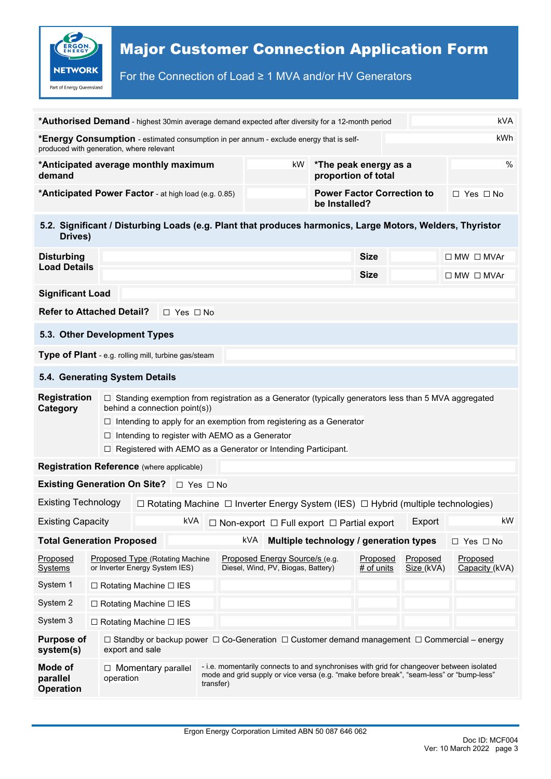

For the Connection of Load ≥ 1 MVA and/or HV Generators

| <b>kVA</b><br><b>*Authorised Demand</b> - highest 30min average demand expected after diversity for a 12-month period                                                 |                                                                                                                                                                                                                                                                                                                                                                                    |                                        |                      |  |                                                                                                                                                                                                    |  |    |                                              |                        |                                        |                            |
|-----------------------------------------------------------------------------------------------------------------------------------------------------------------------|------------------------------------------------------------------------------------------------------------------------------------------------------------------------------------------------------------------------------------------------------------------------------------------------------------------------------------------------------------------------------------|----------------------------------------|----------------------|--|----------------------------------------------------------------------------------------------------------------------------------------------------------------------------------------------------|--|----|----------------------------------------------|------------------------|----------------------------------------|----------------------------|
| kWh<br>*Energy Consumption - estimated consumption in per annum - exclude energy that is self-<br>produced with generation, where relevant                            |                                                                                                                                                                                                                                                                                                                                                                                    |                                        |                      |  |                                                                                                                                                                                                    |  |    |                                              |                        |                                        |                            |
| *Anticipated average monthly maximum<br>demand                                                                                                                        |                                                                                                                                                                                                                                                                                                                                                                                    |                                        |                      |  |                                                                                                                                                                                                    |  | kW | *The peak energy as a<br>proportion of total |                        |                                        | %                          |
| *Anticipated Power Factor - at high load (e.g. 0.85)                                                                                                                  |                                                                                                                                                                                                                                                                                                                                                                                    |                                        |                      |  |                                                                                                                                                                                                    |  |    | be Installed?                                |                        | <b>Power Factor Correction to</b>      | $\Box$ Yes $\Box$ No       |
| 5.2. Significant / Disturbing Loads (e.g. Plant that produces harmonics, Large Motors, Welders, Thyristor<br>Drives)                                                  |                                                                                                                                                                                                                                                                                                                                                                                    |                                        |                      |  |                                                                                                                                                                                                    |  |    |                                              |                        |                                        |                            |
| <b>Disturbing</b><br><b>Load Details</b>                                                                                                                              |                                                                                                                                                                                                                                                                                                                                                                                    |                                        |                      |  |                                                                                                                                                                                                    |  |    |                                              | <b>Size</b>            |                                        | $\Box$ MW $\Box$ MVAr      |
|                                                                                                                                                                       |                                                                                                                                                                                                                                                                                                                                                                                    |                                        |                      |  |                                                                                                                                                                                                    |  |    |                                              | <b>Size</b>            |                                        | $\Box$ MW $\Box$ MVAr      |
| <b>Significant Load</b>                                                                                                                                               |                                                                                                                                                                                                                                                                                                                                                                                    |                                        |                      |  |                                                                                                                                                                                                    |  |    |                                              |                        |                                        |                            |
| <b>Refer to Attached Detail?</b>                                                                                                                                      |                                                                                                                                                                                                                                                                                                                                                                                    |                                        | $\Box$ Yes $\Box$ No |  |                                                                                                                                                                                                    |  |    |                                              |                        |                                        |                            |
| 5.3. Other Development Types                                                                                                                                          |                                                                                                                                                                                                                                                                                                                                                                                    |                                        |                      |  |                                                                                                                                                                                                    |  |    |                                              |                        |                                        |                            |
| Type of Plant - e.g. rolling mill, turbine gas/steam                                                                                                                  |                                                                                                                                                                                                                                                                                                                                                                                    |                                        |                      |  |                                                                                                                                                                                                    |  |    |                                              |                        |                                        |                            |
| 5.4. Generating System Details                                                                                                                                        |                                                                                                                                                                                                                                                                                                                                                                                    |                                        |                      |  |                                                                                                                                                                                                    |  |    |                                              |                        |                                        |                            |
| Category                                                                                                                                                              | <b>Registration</b><br>$\Box$ Standing exemption from registration as a Generator (typically generators less than 5 MVA aggregated<br>behind a connection point(s))<br>$\Box$ Intending to apply for an exemption from registering as a Generator<br>$\Box$ Intending to register with AEMO as a Generator<br>$\Box$ Registered with AEMO as a Generator or Intending Participant. |                                        |                      |  |                                                                                                                                                                                                    |  |    |                                              |                        |                                        |                            |
| <b>Registration Reference</b> (where applicable)                                                                                                                      |                                                                                                                                                                                                                                                                                                                                                                                    |                                        |                      |  |                                                                                                                                                                                                    |  |    |                                              |                        |                                        |                            |
| <b>Existing Generation On Site?</b> □ Yes □ No                                                                                                                        |                                                                                                                                                                                                                                                                                                                                                                                    |                                        |                      |  |                                                                                                                                                                                                    |  |    |                                              |                        |                                        |                            |
| <b>Existing Technology</b>                                                                                                                                            | $\Box$ Rotating Machine $\Box$ Inverter Energy System (IES) $\Box$ Hybrid (multiple technologies)                                                                                                                                                                                                                                                                                  |                                        |                      |  |                                                                                                                                                                                                    |  |    |                                              |                        |                                        |                            |
| <b>Existing Capacity</b>                                                                                                                                              |                                                                                                                                                                                                                                                                                                                                                                                    |                                        |                      |  |                                                                                                                                                                                                    |  |    |                                              |                        | Export                                 | kW                         |
| <b>Total Generation Proposed</b>                                                                                                                                      |                                                                                                                                                                                                                                                                                                                                                                                    |                                        |                      |  | kVA                                                                                                                                                                                                |  |    |                                              |                        | Multiple technology / generation types | □ Yes □ No                 |
| Proposed<br><b>Systems</b>                                                                                                                                            | Proposed Type (Rotating Machine<br>or Inverter Energy System IES)                                                                                                                                                                                                                                                                                                                  |                                        |                      |  | Proposed Energy Source/s (e.g.<br>Diesel, Wind, PV, Biogas, Battery)                                                                                                                               |  |    |                                              | Proposed<br># of units | Proposed<br>Size (kVA)                 | Proposed<br>Capacity (kVA) |
| System 1                                                                                                                                                              | $\Box$ Rotating Machine $\Box$ IES                                                                                                                                                                                                                                                                                                                                                 |                                        |                      |  |                                                                                                                                                                                                    |  |    |                                              |                        |                                        |                            |
| System 2<br>$\Box$ Rotating Machine $\Box$ IES                                                                                                                        |                                                                                                                                                                                                                                                                                                                                                                                    |                                        |                      |  |                                                                                                                                                                                                    |  |    |                                              |                        |                                        |                            |
| System 3<br>$\Box$ Rotating Machine $\Box$ IES                                                                                                                        |                                                                                                                                                                                                                                                                                                                                                                                    |                                        |                      |  |                                                                                                                                                                                                    |  |    |                                              |                        |                                        |                            |
| <b>Purpose of</b><br>$\Box$ Standby or backup power $\Box$ Co-Generation $\Box$ Customer demand management $\Box$ Commercial – energy<br>export and sale<br>system(s) |                                                                                                                                                                                                                                                                                                                                                                                    |                                        |                      |  |                                                                                                                                                                                                    |  |    |                                              |                        |                                        |                            |
| Mode of<br>parallel<br><b>Operation</b>                                                                                                                               |                                                                                                                                                                                                                                                                                                                                                                                    | $\Box$ Momentary parallel<br>operation |                      |  | - i.e. momentarily connects to and synchronises with grid for changeover between isolated<br>mode and grid supply or vice versa (e.g. "make before break", "seam-less" or "bump-less"<br>transfer) |  |    |                                              |                        |                                        |                            |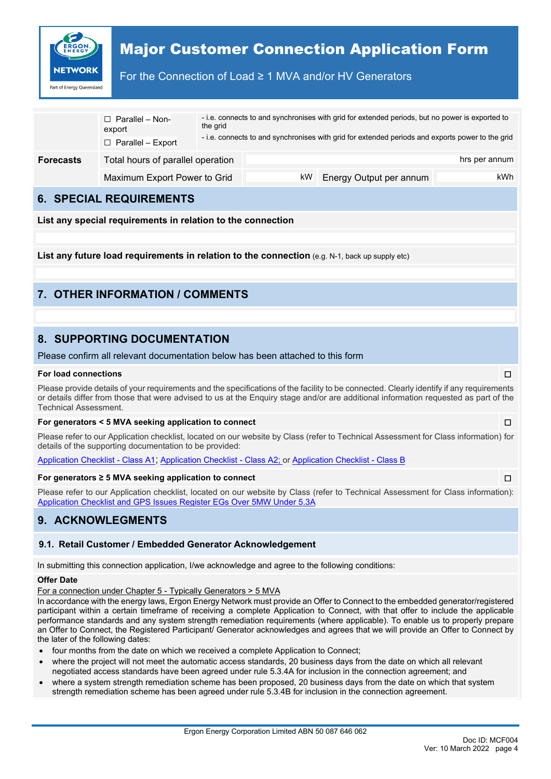

### For the Connection of Load ≥ 1 MVA and/or HV Generators

|                  | $\Box$ Parallel – Non-<br>export<br>$\Box$ Parallel – Export | the grid |     | - i.e. connects to and synchronises with grid for extended periods, but no power is exported to<br>- i.e. connects to and synchronises with grid for extended periods and exports power to the grid |               |
|------------------|--------------------------------------------------------------|----------|-----|-----------------------------------------------------------------------------------------------------------------------------------------------------------------------------------------------------|---------------|
| <b>Forecasts</b> | Total hours of parallel operation                            |          |     |                                                                                                                                                                                                     | hrs per annum |
|                  | Maximum Export Power to Grid                                 |          | kW. | Energy Output per annum                                                                                                                                                                             | kWh           |

### **6. SPECIAL REQUIREMENTS**

**List any special requirements in relation to the connection**

**List any future load requirements in relation to the connection** (e.g. N-1, back up supply etc)

# **7. OTHER INFORMATION / COMMENTS**

# **8. SUPPORTING DOCUMENTATION**

Please confirm all relevant documentation below has been attached to this form

#### **For load connections** ☐

Please provide details of your requirements and the specifications of the facility to be connected. Clearly identify if any requirements or details differ from those that were advised to us at the Enquiry stage and/or are additional information requested as part of the Technical Assessment.

#### **For generators < 5 MVA seeking application to connect** ☐

Please refer to our Application checklist, located on our website by Class (refer to Technical Assessment for Class information) for details of the supporting documentation to be provided:

[Application Checklist -](https://www.ergon.com.au/__data/assets/excel_doc/0006/874806/Under-5MVA-Application-Checklist-A1.xlsx) Class A1; [Application Checklist - Class A2;](https://www.ergon.com.au/__data/assets/excel_doc/0009/821547/Under-5MVA-Application-Checklist-A2.xlsx) or [Application Checklist - Class B](https://www.ergon.com.au/__data/assets/excel_doc/0003/821550/Under-5MVA-Application-Checklist-B.xlsx)

#### **For generators ≥ 5 MVA seeking application to connect** ☐

Please refer to our Application checklist, located on our website by Class (refer to Technical Assessment for Class information): [Application Checklist and GPS Issues Register EGs Over 5MW Under 5.3A](https://www.ergon.com.au/__data/assets/excel_doc/0016/821500/Customer-Application-Checklist-and-GPS-Issues-Register-EGs-Over-5MW-Under-5.3A.xlsx)

## **9. ACKNOWLEGMENTS**

#### **9.1. Retail Customer / Embedded Generator Acknowledgement**

In submitting this connection application, I/we acknowledge and agree to the following conditions:

#### **Offer Date**

For a connection under Chapter 5 - Typically Generators > 5 MVA

In accordance with the energy laws, Ergon Energy Network must provide an Offer to Connect to the embedded generator/registered participant within a certain timeframe of receiving a complete Application to Connect, with that offer to include the applicable performance standards and any system strength remediation requirements (where applicable). To enable us to properly prepare an Offer to Connect, the Registered Participant/ Generator acknowledges and agrees that we will provide an Offer to Connect by the later of the following dates:

- four months from the date on which we received a complete Application to Connect;
- where the project will not meet the automatic access standards, 20 business days from the date on which all relevant negotiated access standards have been agreed under rule 5.3.4A for inclusion in the connection agreement; and
- where a system strength remediation scheme has been proposed, 20 business days from the date on which that system strength remediation scheme has been agreed under rule 5.3.4B for inclusion in the connection agreement.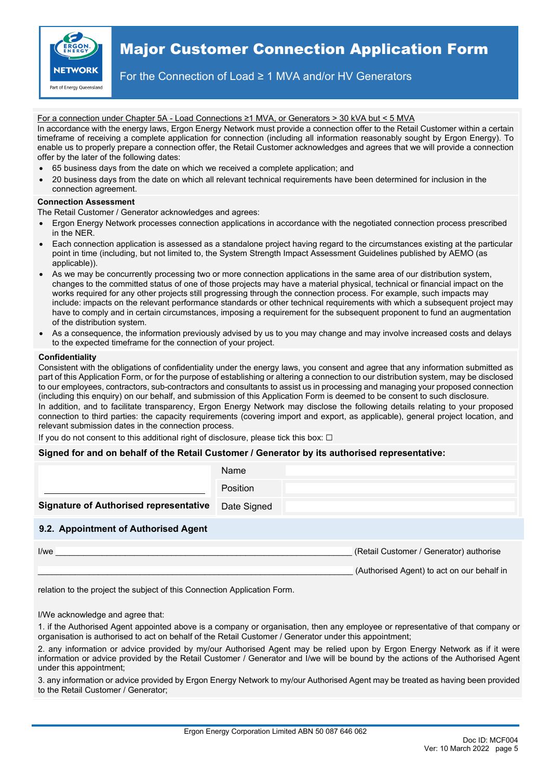

For the Connection of Load ≥ 1 MVA and/or HV Generators

#### For a connection under Chapter 5A - Load Connections ≥1 MVA, or Generators > 30 kVA but < 5 MVA

In accordance with the energy laws, Ergon Energy Network must provide a connection offer to the Retail Customer within a certain timeframe of receiving a complete application for connection (including all information reasonably sought by Ergon Energy). To enable us to properly prepare a connection offer, the Retail Customer acknowledges and agrees that we will provide a connection offer by the later of the following dates:

- 65 business days from the date on which we received a complete application; and
- 20 business days from the date on which all relevant technical requirements have been determined for inclusion in the connection agreement.

#### **Connection Assessment**

The Retail Customer / Generator acknowledges and agrees:

- Ergon Energy Network processes connection applications in accordance with the negotiated connection process prescribed in the NER.
- Each connection application is assessed as a standalone project having regard to the circumstances existing at the particular point in time (including, but not limited to, the System Strength Impact Assessment Guidelines published by AEMO (as applicable)).
- As we may be concurrently processing two or more connection applications in the same area of our distribution system, changes to the committed status of one of those projects may have a material physical, technical or financial impact on the works required for any other projects still progressing through the connection process. For example, such impacts may include: impacts on the relevant performance standards or other technical requirements with which a subsequent project may have to comply and in certain circumstances, imposing a requirement for the subsequent proponent to fund an augmentation of the distribution system.
- As a consequence, the information previously advised by us to you may change and may involve increased costs and delays to the expected timeframe for the connection of your project.

#### **Confidentiality**

Consistent with the obligations of confidentiality under the energy laws, you consent and agree that any information submitted as part of this Application Form, or for the purpose of establishing or altering a connection to our distribution system, may be disclosed to our employees, contractors, sub-contractors and consultants to assist us in processing and managing your proposed connection (including this enquiry) on our behalf, and submission of this Application Form is deemed to be consent to such disclosure. In addition, and to facilitate transparency, Ergon Energy Network may disclose the following details relating to your proposed connection to third parties: the capacity requirements (covering import and export, as applicable), general project location, and relevant submission dates in the connection process.

If you do not consent to this additional right of disclosure, please tick this box:  $\Box$ 

#### **Signed for and on behalf of the Retail Customer / Generator by its authorised representative:**

|                                               | Name        |
|-----------------------------------------------|-------------|
|                                               | Position    |
| <b>Signature of Authorised representative</b> | Date Signed |
| 9.2. Appointment of Authorised Agent          |             |
|                                               |             |

I/we **I/we I/we I/we I/we** *CUSTOMER (Retail Customer / Generator) authorise* 

(Authorised Agent) to act on our behalf in

relation to the project the subject of this Connection Application Form.

I/We acknowledge and agree that:

1. if the Authorised Agent appointed above is a company or organisation, then any employee or representative of that company or organisation is authorised to act on behalf of the Retail Customer / Generator under this appointment;

2. any information or advice provided by my/our Authorised Agent may be relied upon by Ergon Energy Network as if it were information or advice provided by the Retail Customer / Generator and I/we will be bound by the actions of the Authorised Agent under this appointment;

3. any information or advice provided by Ergon Energy Network to my/our Authorised Agent may be treated as having been provided to the Retail Customer / Generator;